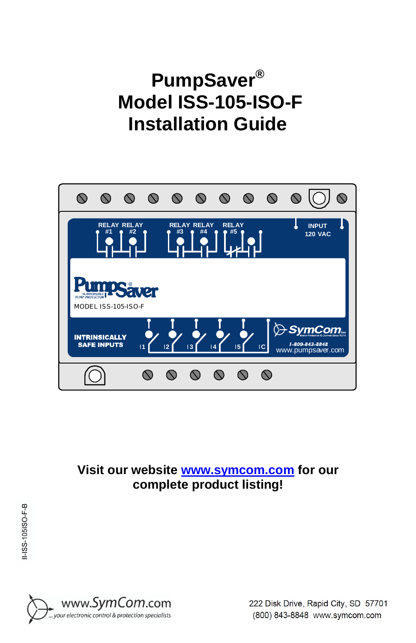# **PumpSaver® Model ISS-105-ISO-F Installation Guide**



**Visit our website [www.symcom.com](http://www.symcom.com) for our complete product listing!**

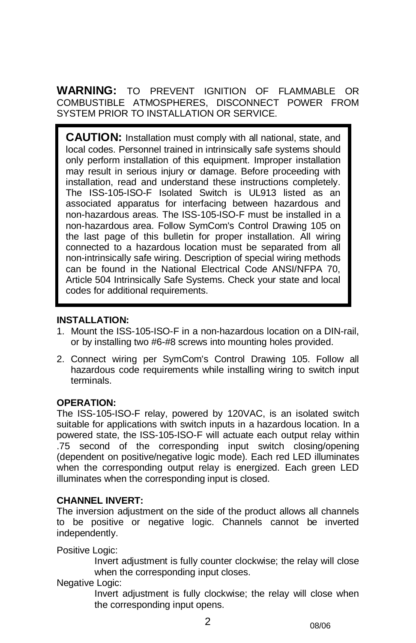**WARNING:** TO PREVENT IGNITION OF FLAMMABLE OR COMBUSTIBLE ATMOSPHERES, DISCONNECT POWER FROM SYSTEM PRIOR TO INSTALLATION OR SERVICE.

**CAUTION:** Installation must comply with all national, state, and local codes. Personnel trained in intrinsically safe systems should only perform installation of this equipment. Improper installation may result in serious injury or damage. Before proceeding with installation, read and understand these instructions completely. The ISS-105-ISO-F Isolated Switch is UL913 listed as an associated apparatus for interfacing between hazardous and non-hazardous areas. The ISS-105-ISO-F must be installed in a non-hazardous area. Follow SymCom's Control Drawing 105 on the last page of this bulletin for proper installation. All wiring connected to a hazardous location must be separated from all non-intrinsically safe wiring. Description of special wiring methods can be found in the National Electrical Code ANSI/NFPA 70, Article 504 Intrinsically Safe Systems. Check your state and local codes for additional requirements.

#### **INSTALLATION:**

- 1. Mount the ISS-105-ISO-F in a non-hazardous location on a DIN-rail, or by installing two #6-#8 screws into mounting holes provided.
- 2. Connect wiring per SymCom's Control Drawing 105. Follow all hazardous code requirements while installing wiring to switch input terminals.

#### **OPERATION:**

The ISS-105-ISO-F relay, powered by 120VAC, is an isolated switch suitable for applications with switch inputs in a hazardous location. In a powered state, the ISS-105-ISO-F will actuate each output relay within .75 second of the corresponding input switch closing/opening (dependent on positive/negative logic mode). Each red LED illuminates when the corresponding output relay is energized. Each green LED illuminates when the corresponding input is closed.

#### **CHANNEL INVERT:**

The inversion adjustment on the side of the product allows all channels to be positive or negative logic. Channels cannot be inverted independently.

Positive Logic:

Invert adjustment is fully counter clockwise; the relay will close when the corresponding input closes.

#### Negative Logic:

Invert adjustment is fully clockwise; the relay will close when the corresponding input opens.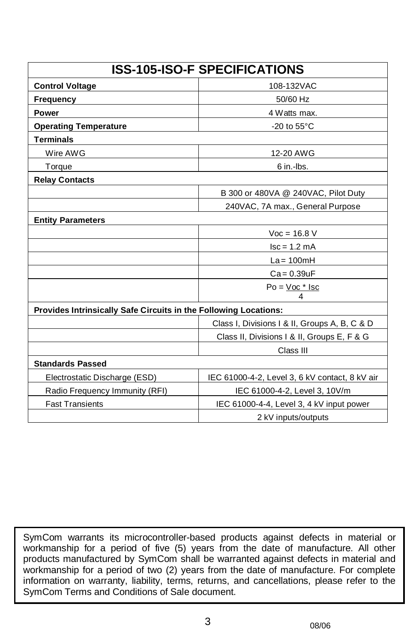| <b>ISS-105-ISO-F SPECIFICATIONS</b>                              |                                                |
|------------------------------------------------------------------|------------------------------------------------|
| <b>Control Voltage</b>                                           | 108-132VAC                                     |
| Frequency                                                        | 50/60 Hz                                       |
| <b>Power</b>                                                     | 4 Watts max.                                   |
| <b>Operating Temperature</b>                                     | -20 to $55^{\circ}$ C                          |
| <b>Terminals</b>                                                 |                                                |
| Wire AWG                                                         | 12-20 AWG                                      |
| Torque                                                           | 6 in.-lbs.                                     |
| <b>Relay Contacts</b>                                            |                                                |
|                                                                  | B 300 or 480VA @ 240VAC, Pilot Duty            |
|                                                                  | 240VAC, 7A max., General Purpose               |
| <b>Entity Parameters</b>                                         |                                                |
|                                                                  | $Voc = 16.8 V$                                 |
|                                                                  | $lsc = 1.2$ mA                                 |
|                                                                  | $La = 100mH$                                   |
|                                                                  | $Ca = 0.39uF$                                  |
|                                                                  | $Po = Voc * Isc$                               |
| Provides Intrinsically Safe Circuits in the Following Locations: |                                                |
|                                                                  | Class I, Divisions I & II, Groups A, B, C & D  |
|                                                                  | Class II, Divisions I & II, Groups E, F & G    |
|                                                                  | Class III                                      |
| <b>Standards Passed</b>                                          |                                                |
| Electrostatic Discharge (ESD)                                    | IEC 61000-4-2, Level 3, 6 kV contact, 8 kV air |
| Radio Frequency Immunity (RFI)                                   | IEC 61000-4-2, Level 3, 10V/m                  |
| <b>Fast Transients</b>                                           | IEC 61000-4-4, Level 3, 4 kV input power       |
|                                                                  | 2 kV inputs/outputs                            |

SymCom warrants its microcontroller-based products against defects in material or workmanship for a period of five (5) years from the date of manufacture. All other products manufactured by SymCom shall be warranted against defects in material and workmanship for a period of two (2) years from the date of manufacture. For complete information on warranty, liability, terms, returns, and cancellations, please refer to the SymCom Terms and Conditions of Sale document.